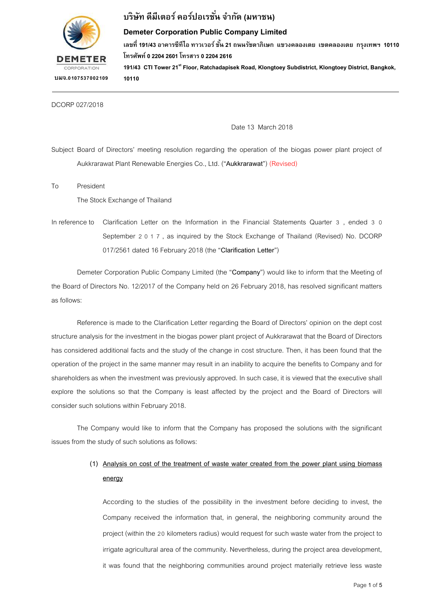

## **บริษทั ดีมีเตอร์ คอร์ปอเรชั ่น จ ำกัด (มหำชน)**

### **Demeter Corporation Public Company Limited**

**เลขที่ 191/43 อำคำรซีทีไอ ทำวเวอร์ ชั้น 21 ถนนรชัดำภิเษก แขวงคลองเตย เขตคลองเตย กรงุ เทพฯ 10110 โทรศัพท์ 0 2204 2601 โทรสำร 0 2204 2616 191/43 CTI Tower 21stFloor, Ratchadapisek Road, Klongtoey Subdistrict, Klongtoey District, Bangkok,** 

**บมจ.0107537002109**

DCORP 027/2018

Date 13 March 2018

Subject Board of Directors' meeting resolution regarding the operation of the biogas power plant project of Aukkrarawat Plant Renewable Energies Co., Ltd. ("**Aukkrarawat**") (Revised)

To President

The Stock Exchange of Thailand

**10110** 

**Tel. 0 2204 2601 Fax. 0 2204 2616**

In reference to Clarification Letter on the Information in the Financial Statements Quarter 3 , ended 3 0 September 2017 , as inquired by the Stock Exchange of Thailand (Revised) No. DCORP 017/2561 dated 16 February 2018 (the "**Clarification Letter**")

Demeter Corporation Public Company Limited (the "**Company**") would like to inform that the Meeting of the Board of Directors No. 12/2017 of the Company held on 26 February 2018, has resolved significant matters as follows:

Reference is made to the Clarification Letter regarding the Board of Directors' opinion on the dept cost structure analysis for the investment in the biogas power plant project of Aukkrarawat that the Board of Directors has considered additional facts and the study of the change in cost structure. Then, it has been found that the operation of the project in the same manner may result in an inability to acquire the benefits to Company and for shareholders as when the investment was previously approved. In such case, it is viewed that the executive shall explore the solutions so that the Company is least affected by the project and the Board of Directors will consider such solutions within February 2018.

The Company would like to inform that the Company has proposed the solutions with the significant issues from the study of such solutions as follows:

## **(1) Analysis on cost of the treatment of waste water created from the power plant using biomass energy**

According to the studies of the possibility in the investment before deciding to invest, the Company received the information that, in general, the neighboring community around the project (within the 20 kilometers radius) would request for such waste water from the project to irrigate agricultural area of the community. Nevertheless, during the project area development, it was found that the neighboring communities around project materially retrieve less waste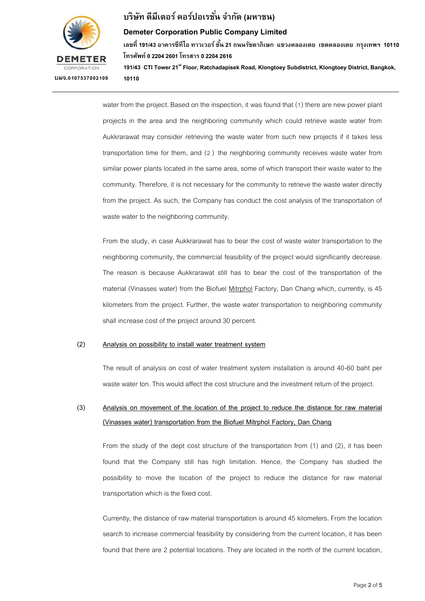

# **บริษทั ดีมีเตอร์ คอร์ปอเรชั ่น จ ำกัด (มหำชน)**

**Tel. 0 2204 2601 Fax. 0 2204 2616**

### **Demeter Corporation Public Company Limited**

**เลขที่ 191/43 อำคำรซีทีไอ ทำวเวอร์ ชั้น 21 ถนนรชัดำภิเษก แขวงคลองเตย เขตคลองเตย กรงุ เทพฯ 10110 โทรศัพท์ 0 2204 2601 โทรสำร 0 2204 2616**

**191/43 CTI Tower 21stFloor, Ratchadapisek Road, Klongtoey Subdistrict, Klongtoey District, Bangkok, 10110** 

water from the project. Based on the inspection, it was found that (1) there are new power plant projects in the area and the neighboring community which could retrieve waste water from Aukkrarawat may consider retrieving the waste water from such new projects if it takes less transportation time for them, and (2 ) the neighboring community receives waste water from similar power plants located in the same area, some of which transport their waste water to the community. Therefore, it is not necessary for the community to retrieve the waste water directly from the project. As such, the Company has conduct the cost analysis of the transportation of waste water to the neighboring community.

From the study, in case Aukkrarawat has to bear the cost of waste water transportation to the neighboring community, the commercial feasibility of the project would significantly decrease. The reason is because Aukkrarawat still has to bear the cost of the transportation of the material (Vinasses water) from the Biofuel Mitrphol Factory, Dan Chang which, currently, is 45 kilometers from the project. Further, the waste water transportation to neighboring community shall increase cost of the project around 30 percent.

#### **(2) Analysis on possibility to install water treatment system**

The result of analysis on cost of water treatment system installation is around 40-60 baht per waste water ton. This would affect the cost structure and the investment return of the project.

## **(3) Analysis on movement of the location of the project to reduce the distance for raw material (Vinasses water) transportation from the Biofuel Mitrphol Factory, Dan Chang**

From the study of the dept cost structure of the transportation from (1) and (2), it has been found that the Company still has high limitation. Hence, the Company has studied the possibility to move the location of the project to reduce the distance for raw material transportation which is the fixed cost.

Currently, the distance of raw material transportation is around 45 kilometers. From the location search to increase commercial feasibility by considering from the current location, it has been found that there are 2 potential locations. They are located in the north of the current location,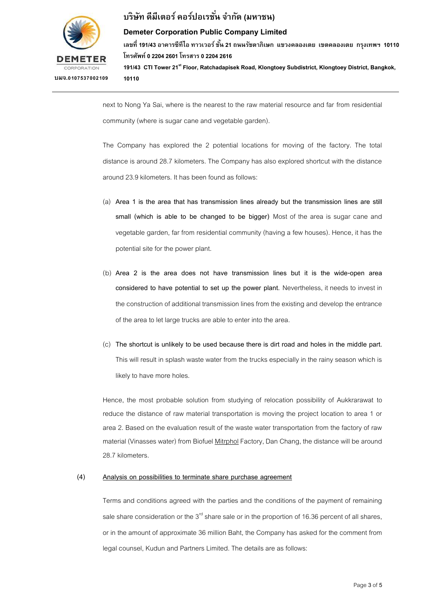

## **บริษทั ดีมีเตอร์ คอร์ปอเรชั ่น จ ำกัด (มหำชน)**

### **Demeter Corporation Public Company Limited**

**เลขที่ 191/43 อำคำรซีทีไอ ทำวเวอร์ ชั้น 21 ถนนรชัดำภิเษก แขวงคลองเตย เขตคลองเตย กรงุ เทพฯ 10110 โทรศัพท์ 0 2204 2601 โทรสำร 0 2204 2616 191/43 CTI Tower 21stFloor, Ratchadapisek Road, Klongtoey Subdistrict, Klongtoey District, Bangkok,** 

**10110** 

**Tel. 0 2204 2601 Fax. 0 2204 2616**

next to Nong Ya Sai, where is the nearest to the raw material resource and far from residential community (where is sugar cane and vegetable garden).

The Company has explored the 2 potential locations for moving of the factory. The total distance is around 28.7 kilometers. The Company has also explored shortcut with the distance around 23.9 kilometers. It has been found as follows:

- (a) **Area 1 is the area that has transmission lines already but the transmission lines are still small (which is able to be changed to be bigger)** Most of the area is sugar cane and vegetable garden, far from residential community (having a few houses). Hence, it has the potential site for the power plant.
- (b) **Area 2 is the area does not have transmission lines but it is the wide-open area considered to have potential to set up the power plant.** Nevertheless, it needs to invest in the construction of additional transmission lines from the existing and develop the entrance of the area to let large trucks are able to enter into the area.
- (c) **The shortcut is unlikely to be used because there is dirt road and holes in the middle part.** This will result in splash waste water from the trucks especially in the rainy season which is likely to have more holes.

Hence, the most probable solution from studying of relocation possibility of Aukkrarawat to reduce the distance of raw material transportation is moving the project location to area 1 or area 2. Based on the evaluation result of the waste water transportation from the factory of raw material (Vinasses water) from Biofuel Mitrphol Factory, Dan Chang, the distance will be around 28.7 kilometers.

### **(4) Analysis on possibilities to terminate share purchase agreement**

Terms and conditions agreed with the parties and the conditions of the payment of remaining sale share consideration or the  $3<sup>rd</sup>$  share sale or in the proportion of 16.36 percent of all shares, or in the amount of approximate 36 million Baht, the Company has asked for the comment from legal counsel, Kudun and Partners Limited. The details are as follows: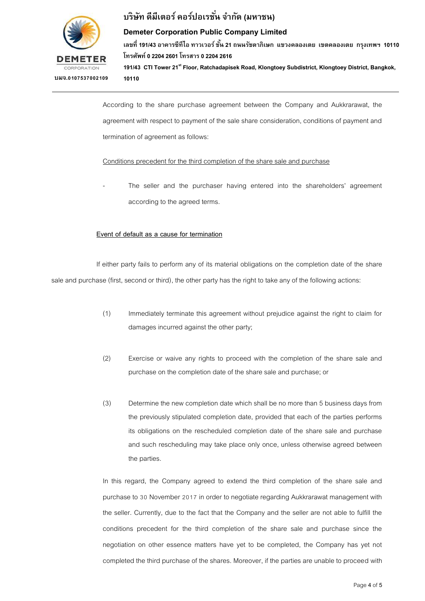

# **บริษทั ดีมีเตอร์ คอร์ปอเรชั ่น จ ำกัด (มหำชน)**

### **Demeter Corporation Public Company Limited**

**เลขที่ 191/43 อำคำรซีทีไอ ทำวเวอร์ ชั้น 21 ถนนรชัดำภิเษก แขวงคลองเตย เขตคลองเตย กรงุ เทพฯ 10110 โทรศัพท์ 0 2204 2601 โทรสำร 0 2204 2616 191/43 CTI Tower 21stFloor, Ratchadapisek Road, Klongtoey Subdistrict, Klongtoey District, Bangkok,** 

**10110** 

According to the share purchase agreement between the Company and Aukkrarawat, the agreement with respect to payment of the sale share consideration, conditions of payment and termination of agreement as follows:

### Conditions precedent for the third completion of the share sale and purchase

The seller and the purchaser having entered into the shareholders' agreement according to the agreed terms.

### **Event of default as a cause for termination**

**Tel. 0 2204 2601 Fax. 0 2204 2616**

If either party fails to perform any of its material obligations on the completion date of the share sale and purchase (first, second or third), the other party has the right to take any of the following actions:

- (1) Immediately terminate this agreement without prejudice against the right to claim for damages incurred against the other party;
- (2) Exercise or waive any rights to proceed with the completion of the share sale and purchase on the completion date of the share sale and purchase; or
- (3) Determine the new completion date which shall be no more than 5 business days from the previously stipulated completion date, provided that each of the parties performs its obligations on the rescheduled completion date of the share sale and purchase and such rescheduling may take place only once, unless otherwise agreed between the parties.

In this regard, the Company agreed to extend the third completion of the share sale and purchase to 30 November 2017 in order to negotiate regarding Aukkrarawat management with the seller. Currently, due to the fact that the Company and the seller are not able to fulfill the conditions precedent for the third completion of the share sale and purchase since the negotiation on other essence matters have yet to be completed, the Company has yet not completed the third purchase of the shares. Moreover, if the parties are unable to proceed with